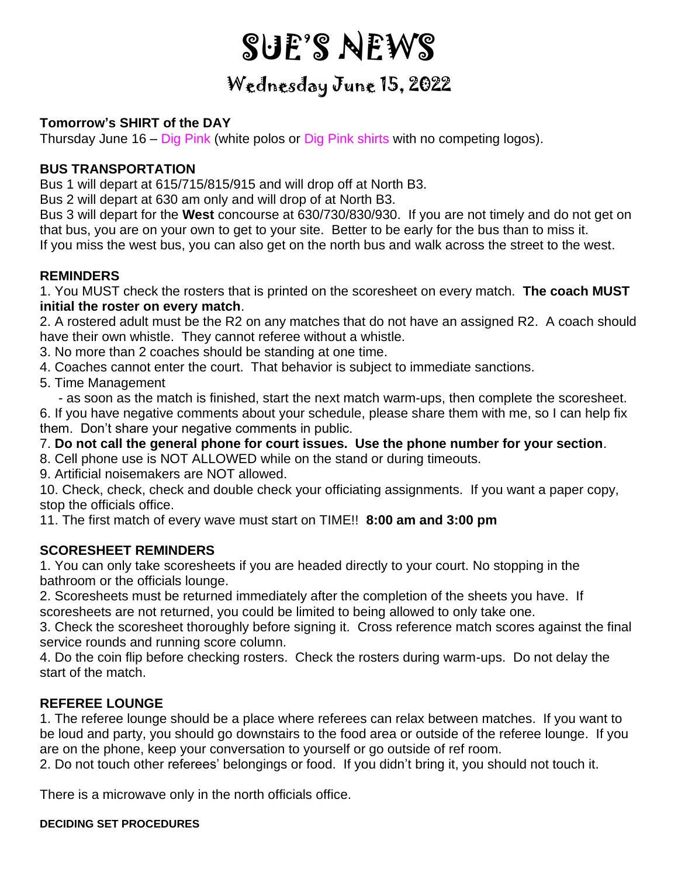# SUE'S NEWS

## Wednesday June 15, 2022

#### **Tomorrow's SHIRT of the DAY**

Thursday June 16 – Dig Pink (white polos or Dig Pink shirts with no competing logos).

#### **BUS TRANSPORTATION**

Bus 1 will depart at 615/715/815/915 and will drop off at North B3.

Bus 2 will depart at 630 am only and will drop of at North B3.

Bus 3 will depart for the **West** concourse at 630/730/830/930. If you are not timely and do not get on that bus, you are on your own to get to your site. Better to be early for the bus than to miss it. If you miss the west bus, you can also get on the north bus and walk across the street to the west.

#### **REMINDERS**

1. You MUST check the rosters that is printed on the scoresheet on every match. **The coach MUST initial the roster on every match**.

2. A rostered adult must be the R2 on any matches that do not have an assigned R2. A coach should have their own whistle. They cannot referee without a whistle.

3. No more than 2 coaches should be standing at one time.

4. Coaches cannot enter the court. That behavior is subject to immediate sanctions.

5. Time Management

- as soon as the match is finished, start the next match warm-ups, then complete the scoresheet.

6. If you have negative comments about your schedule, please share them with me, so I can help fix them. Don't share your negative comments in public.

7. **Do not call the general phone for court issues. Use the phone number for your section**.

8. Cell phone use is NOT ALLOWED while on the stand or during timeouts.

9. Artificial noisemakers are NOT allowed.

10. Check, check, check and double check your officiating assignments. If you want a paper copy, stop the officials office.

11. The first match of every wave must start on TIME!! **8:00 am and 3:00 pm**

### **SCORESHEET REMINDERS**

1. You can only take scoresheets if you are headed directly to your court. No stopping in the bathroom or the officials lounge.

2. Scoresheets must be returned immediately after the completion of the sheets you have. If scoresheets are not returned, you could be limited to being allowed to only take one.

3. Check the scoresheet thoroughly before signing it. Cross reference match scores against the final service rounds and running score column.

4. Do the coin flip before checking rosters. Check the rosters during warm-ups. Do not delay the start of the match.

#### **REFEREE LOUNGE**

1. The referee lounge should be a place where referees can relax between matches. If you want to be loud and party, you should go downstairs to the food area or outside of the referee lounge. If you are on the phone, keep your conversation to yourself or go outside of ref room.

2. Do not touch other referees' belongings or food. If you didn't bring it, you should not touch it.

There is a microwave only in the north officials office.

#### **DECIDING SET PROCEDURES**